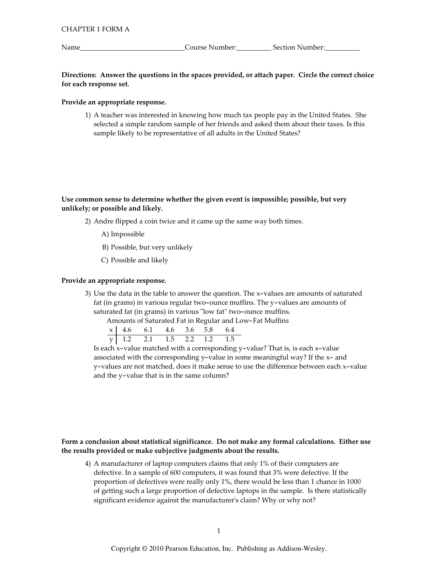Name

Course Number:<br>
<u>Course Number:</u>

# Directions: Answer the questions in the spaces provided, or attach paper. Circle the correct choice for each response set.

## Provide an appropriate response.

1) A teacher was interested in knowing how much tax people pay in the United States. She selected a simple random sample of her friends and asked them about their taxes. Is this sample likely to be representative of all adults in the United States?

Use common sense to determine whether the given event is impossible; possible, but very unlikely; or possible and likely.

- 2) Andre flipped a coin twice and it came up the same way both times.
	- A) Impossible
	- B) Possible, but very unlikely
	- C) Possible and likely

# Provide an appropriate response.

3) Use the data in the table to answer the question. The x-values are amounts of saturated fat (in grams) in various regular two-ounce muffins. The y-values are amounts of saturated fat (in grams) in various "low fat" two-ounce muffins.

Amounts of Saturated Fat in Regular and Low-Fat Muffins

|  | $\begin{array}{c cccccc}\nx & 4.6 & 6.1 & 4.6 & 3.6 & 5.8 & 6.4 \\ \hline\ny & 1.2 & 2.1 & 1.5 & 2.2 & 1.2 & 1.5\n\end{array}$ |  |  |
|--|--------------------------------------------------------------------------------------------------------------------------------|--|--|

Is each x-value matched with a corresponding y-value? That is, is each x-value associated with the corresponding y-value in some meaningful way? If the x- and y-values are not matched, does it make sense to use the difference between each x-value and the y-value that is in the same column?

# Form a conclusion about statistical significance. Do not make any formal calculations. Either use the results provided or make subjective judgments about the results.

4) A manufacturer of laptop computers claims that only 1% of their computers are defective. In a sample of 600 computers, it was found that 3% were defective. If the proportion of defectives were really only 1%, there would be less than 1 chance in 1000 of getting such a large proportion of defective laptops in the sample. Is there statistically significant evidence against the manufacturer's claim? Why or why not?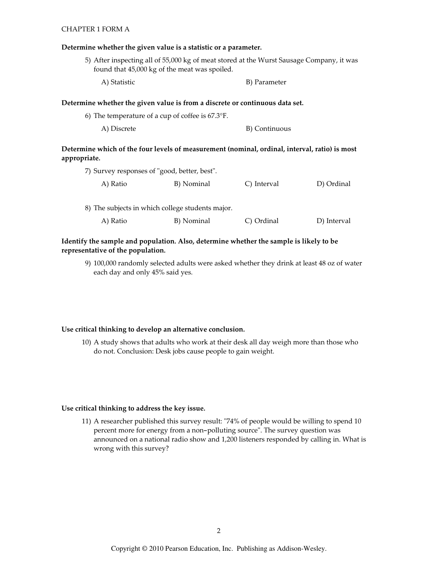### **CHAPTER 1 FORM A**

#### Determine whether the given value is a statistic or a parameter.

5) After inspecting all of 55,000 kg of meat stored at the Wurst Sausage Company, it was found that 45,000 kg of the meat was spoiled.

A) Statistic B) Parameter

### Determine whether the given value is from a discrete or continuous data set.

| 6) The temperature of a cup of coffee is $67.3^{\circ}$ F. |               |
|------------------------------------------------------------|---------------|
| A) Discrete                                                | B) Continuous |

# Determine which of the four levels of measurement (nominal, ordinal, interval, ratio) is most appropriate.

| 7) Survey responses of "good, better, best". |                                                  |             |             |
|----------------------------------------------|--------------------------------------------------|-------------|-------------|
| A) Ratio                                     | B) Nominal                                       | C) Interval | D) Ordinal  |
|                                              |                                                  |             |             |
|                                              | 8) The subjects in which college students major. |             |             |
| A) Ratio                                     | B) Nominal                                       | C) Ordinal  | D) Interval |

## Identify the sample and population. Also, determine whether the sample is likely to be representative of the population.

9) 100,000 randomly selected adults were asked whether they drink at least 48 oz of water each day and only 45% said yes.

#### Use critical thinking to develop an alternative conclusion.

10) A study shows that adults who work at their desk all day weigh more than those who do not. Conclusion: Desk jobs cause people to gain weight.

#### Use critical thinking to address the key issue.

11) A researcher published this survey result: "74% of people would be willing to spend 10 percent more for energy from a non-polluting source". The survey question was announced on a national radio show and 1,200 listeners responded by calling in. What is wrong with this survey?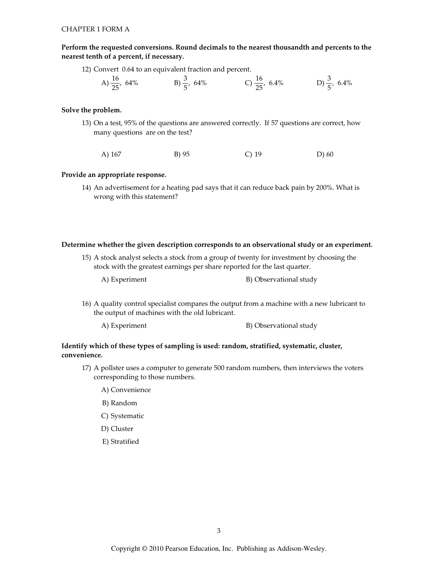Perform the requested conversions. Round decimals to the nearest thousandth and percents to the nearest tenth of a percent, if necessary.

12) Convert 0.64 to an equivalent fraction and percent.

A) 
$$
\frac{16}{25}
$$
, 64% B)  $\frac{3}{5}$ , 64% C)  $\frac{16}{25}$ , 6.4% D)  $\frac{3}{5}$ , 6.4%

## Solve the problem.

13) On a test, 95% of the questions are answered correctly. If 57 questions are correct, how many questions are on the test?

A) 167 B) 95  $C)$  19  $D)$  60

### Provide an appropriate response.

14) An advertisement for a heating pad says that it can reduce back pain by 200%. What is wrong with this statement?

## Determine whether the given description corresponds to an observational study or an experiment.

- 15) A stock analyst selects a stock from a group of twenty for investment by choosing the stock with the greatest earnings per share reported for the last quarter.
	- A) Experiment

B) Observational study

- 16) A quality control specialist compares the output from a machine with a new lubricant to the output of machines with the old lubricant.
	- A) Experiment B) Observational study

# Identify which of these types of sampling is used: random, stratified, systematic, cluster, convenience.

- 17) A pollster uses a computer to generate 500 random numbers, then interviews the voters corresponding to those numbers.
	- A) Convenience
	- B) Random
	- C) Systematic
	- D) Cluster
	- E) Stratified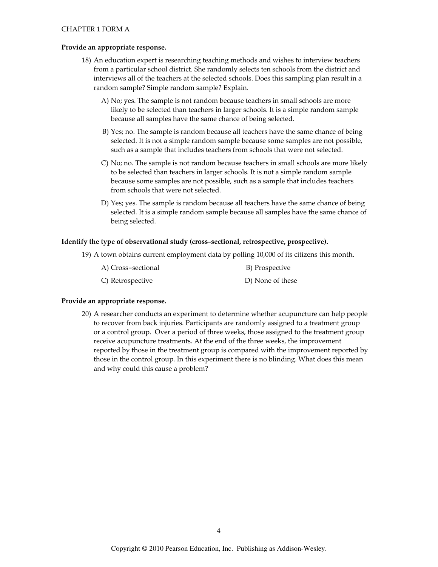### Provide an appropriate response.

- 18) An education expert is researching teaching methods and wishes to interview teachers from a particular school district. She randomly selects ten schools from the district and interviews all of the teachers at the selected schools. Does this sampling plan result in a random sample? Simple random sample? Explain.
	- A) No; yes. The sample is not random because teachers in small schools are more likely to be selected than teachers in larger schools. It is a simple random sample because all samples have the same chance of being selected.
	- B) Yes; no. The sample is random because all teachers have the same chance of being selected. It is not a simple random sample because some samples are not possible, such as a sample that includes teachers from schools that were not selected.
	- C) No; no. The sample is not random because teachers in small schools are more likely to be selected than teachers in larger schools. It is not a simple random sample because some samples are not possible, such as a sample that includes teachers from schools that were not selected.
	- D) Yes; yes. The sample is random because all teachers have the same chance of being selected. It is a simple random sample because all samples have the same chance of being selected.

## Identify the type of observational study (cross-sectional, retrospective, prospective).

19) A town obtains current employment data by polling 10,000 of its citizens this month.

| A) Cross-sectional | B) Prospective   |
|--------------------|------------------|
| C) Retrospective   | D) None of these |

## Provide an appropriate response.

20) A researcher conducts an experiment to determine whether acupuncture can help people to recover from back injuries. Participants are randomly assigned to a treatment group or a control group. Over a period of three weeks, those assigned to the treatment group receive acupuncture treatments. At the end of the three weeks, the improvement reported by those in the treatment group is compared with the improvement reported by those in the control group. In this experiment there is no blinding. What does this mean and why could this cause a problem?